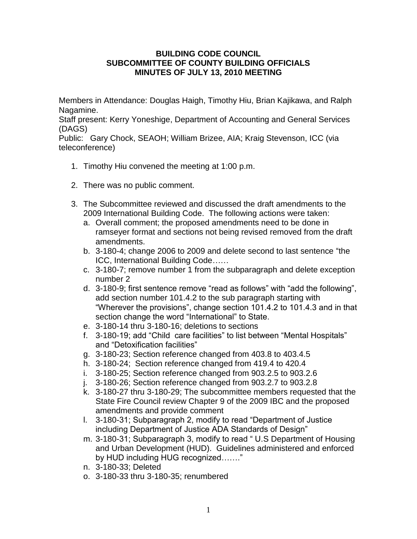## **BUILDING CODE COUNCIL SUBCOMMITTEE OF COUNTY BUILDING OFFICIALS MINUTES OF JULY 13, 2010 MEETING**

Members in Attendance: Douglas Haigh, Timothy Hiu, Brian Kajikawa, and Ralph Nagamine.

Staff present: Kerry Yoneshige, Department of Accounting and General Services (DAGS)

Public: Gary Chock, SEAOH; William Brizee, AIA; Kraig Stevenson, ICC (via teleconference)

- 1. Timothy Hiu convened the meeting at 1:00 p.m.
- 2. There was no public comment.
- 3. The Subcommittee reviewed and discussed the draft amendments to the 2009 International Building Code. The following actions were taken:
	- a. Overall comment; the proposed amendments need to be done in ramseyer format and sections not being revised removed from the draft amendments.
	- b. 3-180-4; change 2006 to 2009 and delete second to last sentence "the ICC, International Building Code……
	- c. 3-180-7; remove number 1 from the subparagraph and delete exception number 2
	- d. 3-180-9; first sentence remove "read as follows" with "add the following", add section number 101.4.2 to the sub paragraph starting with "Wherever the provisions", change section 101.4.2 to 101.4.3 and in that section change the word "International" to State.
	- e. 3-180-14 thru 3-180-16; deletions to sections
	- f. 3-180-19; add "Child care facilities" to list between "Mental Hospitals" and "Detoxification facilities"
	- g. 3-180-23; Section reference changed from 403.8 to 403.4.5
	- h. 3-180-24; Section reference changed from 419.4 to 420.4
	- i. 3-180-25; Section reference changed from 903.2.5 to 903.2.6
	- j. 3-180-26; Section reference changed from 903.2.7 to 903.2.8
	- k. 3-180-27 thru 3-180-29; The subcommittee members requested that the State Fire Council review Chapter 9 of the 2009 IBC and the proposed amendments and provide comment
	- l. 3-180-31; Subparagraph 2, modify to read "Department of Justice including Department of Justice ADA Standards of Design"
	- m. 3-180-31; Subparagraph 3, modify to read " U.S Department of Housing and Urban Development (HUD). Guidelines administered and enforced by HUD including HUG recognized……."
	- n. 3-180-33; Deleted
	- o. 3-180-33 thru 3-180-35; renumbered